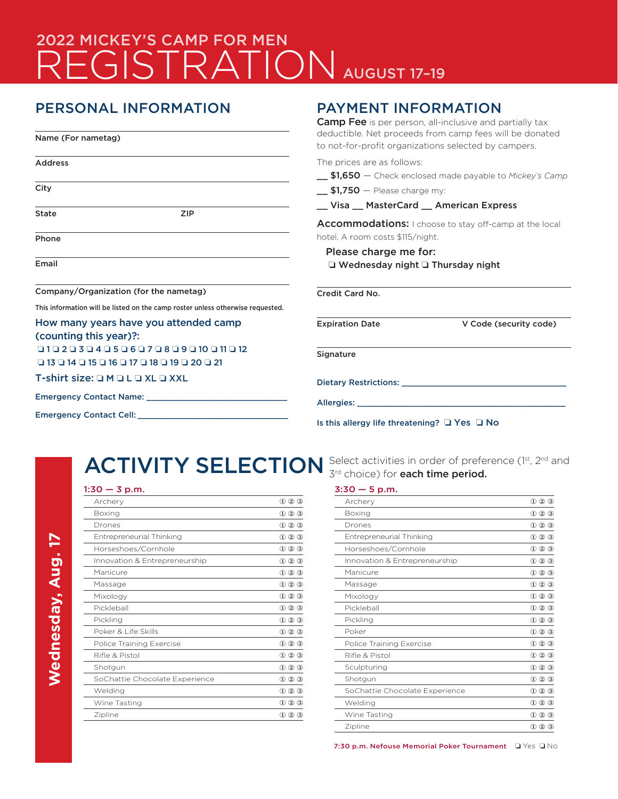# 2022 MICKEY'S CAMP FOR MEN REGISTRATION AUGUST 17-19

# PERSONAL INFORMATION

Name (For nametag)

Address **City** State ZIP Phone

Email

Company/Organization (for the nametag)

This information will be listed on the camp roster unless otherwise requested.

#### How many years have you attended camp (counting this year)?:

 o 1 o 2 o 3 o 4 o 5 o 6 o 7 o 8 o 9 o 10 o 11 o 12 o 13 o 14 o 15 o 16 o 17 o 18 o 19 o 20 o 21

T-shirt size:  $\square$  M  $\square$  L  $\square$  XL  $\square$  XXL

| <b>Emergency Contact Name:</b> |  |  |  |  |  |  |
|--------------------------------|--|--|--|--|--|--|
|                                |  |  |  |  |  |  |

Emergency Contact Cell: \_\_\_

## PAYMENT INFORMATION

**Camp Fee** is per person, all-inclusive and partially tax deductible. Net proceeds from camp fees will be donated to not-for-profit organizations selected by campers.

The prices are as follows:

- \_\_ \$1,650 Check enclosed made payable to *Mickey's Camp*
- $\overline{\phantom{0}}$ \$1,750 Please charge my:
- \_\_ Visa \_\_ MasterCard \_\_ American Express

Accommodations: I choose to stay off-camp at the local hotel. A room costs \$115/night.

### Please charge me for:  $\Box$  Wednesday night  $\Box$  Thursday night

Credit Card No.

Expiration Date V Code (security code)

**Signature** 

Dietary Restrictions: \_\_\_\_\_\_\_\_\_\_\_\_\_\_\_\_\_\_\_\_\_\_\_\_\_\_\_\_\_\_\_\_\_\_

Allergies:

Is this allergy life threatening?  $\Box$  Yes  $\Box$  No

#### $1:30 - 3$  p.m.

| Archery                         | $(2)$ $(3)$<br>$^{\textcircled{\footnotesize{1}}}$ |
|---------------------------------|----------------------------------------------------|
| <b>Boxing</b>                   | $\textcircled{1}$ 2 $\textcircled{3}$              |
| Drones                          | $\textcircled{1}$ 2 $\textcircled{3}$              |
| Entrepreneurial Thinking        | $\textcircled{1}$ 2 $\textcircled{3}$              |
| Horseshoes/Cornhole             | $\textcircled{1}$ 2 $\textcircled{3}$              |
| Innovation & Entrepreneurship   | $\textcircled{1}$ 2 $\textcircled{3}$              |
| Manicure                        | $\textcircled{1}$ 2 $\textcircled{3}$              |
| Massage                         | 000                                                |
| Mixology                        | $\textcircled{1}$ 2 $\textcircled{3}$              |
| Pickleball                      | $\textcircled{1}$ 2 $\textcircled{3}$              |
| Pickling                        | 000                                                |
| Poker & Life Skills             | $\textcircled{1}$ 2 $\textcircled{3}$              |
| <b>Police Training Exercise</b> | $\textcircled{1}$ 2 $\textcircled{3}$              |
| Rifle & Pistol                  | 000                                                |
| Shotgun                         | $\textcircled{1}$ 2 $\textcircled{3}$              |
| SoChattie Chocolate Experience  | 000                                                |
| Welding                         | $\textcircled{1}$ 2 $\textcircled{3}$              |
| Wine Tasting                    | $\textcircled{1}$ 2 $\textcircled{3}$              |
| Zipline                         | $\textcircled{1}$ 2 3                              |

ACTIVITY SELECTION Select activities in order of preference (1st, 2nd and 3<sup>rd</sup> choice) for each time period.

#### $3:30 - 5$  p.m.

| Archery                        | $(2)$ $(3)$<br>$\bigcirc$                             |
|--------------------------------|-------------------------------------------------------|
| Boxing                         | $\textcircled{1}$ 2 $\textcircled{3}$                 |
| Drones                         | $(1)$ $(2)$ $(3)$                                     |
| Entrepreneurial Thinking       | $\textcircled{1}$ $\textcircled{2}$ $\textcircled{3}$ |
| Horseshoes/Cornhole            | $\textcircled{1}$ $\textcircled{2}$ $\textcircled{3}$ |
| Innovation & Entrepreneurship  | $\textcircled{1}$ 2 $\textcircled{3}$                 |
| Manicure                       | $(1)$ $(2)$ $(3)$                                     |
| Massage                        | $(1)$ (2) (3)                                         |
| Mixology                       | $(1)$ $(2)$ $(3)$                                     |
| Pickleball                     | $(1)$ (2) (3)                                         |
| Pickling                       | $(1)$ $(2)$ $(3)$                                     |
| Poker                          | $(1)$ $(2)$ $(3)$                                     |
| Police Training Exercise       | $(1)$ (2) (3)                                         |
| Rifle & Pistol                 | $\circled{1}$<br>$\circled{3}$                        |
| Sculpturing                    | $\circled{1}$<br>$\circled{3}$                        |
| Shotgun                        | $\circled{1}$<br>$\circled{3}$                        |
| SoChattie Chocolate Experience | $\circled{1}$<br>$(2)$ $(3)$                          |
| Welding                        | $(1)$ (2) (3)                                         |
| Wine Tasting                   | 000                                                   |
| Zipline                        | $(1)$ $(2)$ $(3)$                                     |